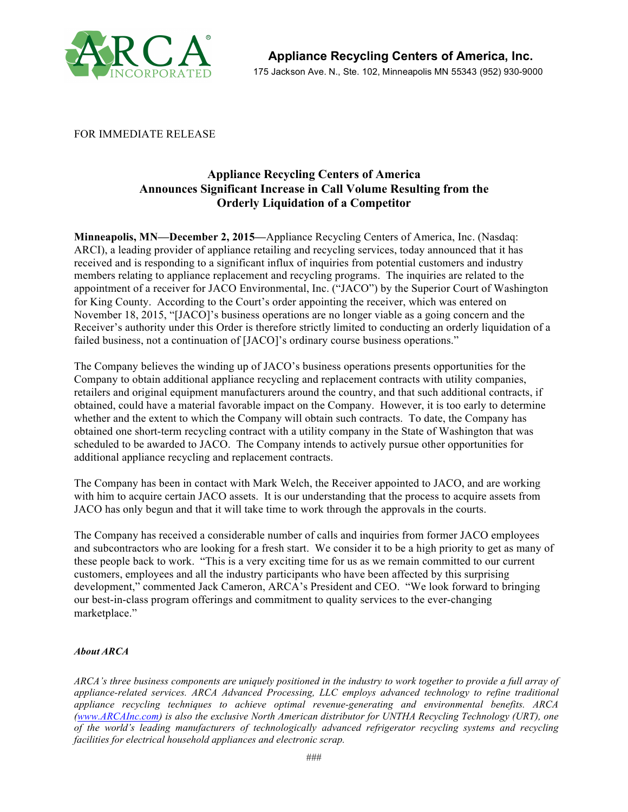

FOR IMMEDIATE RELEASE

## **Appliance Recycling Centers of America Announces Significant Increase in Call Volume Resulting from the Orderly Liquidation of a Competitor**

**Minneapolis, MN—December 2, 2015—**Appliance Recycling Centers of America, Inc. (Nasdaq: ARCI), a leading provider of appliance retailing and recycling services, today announced that it has received and is responding to a significant influx of inquiries from potential customers and industry members relating to appliance replacement and recycling programs. The inquiries are related to the appointment of a receiver for JACO Environmental, Inc. ("JACO") by the Superior Court of Washington for King County. According to the Court's order appointing the receiver, which was entered on November 18, 2015, "[JACO]'s business operations are no longer viable as a going concern and the Receiver's authority under this Order is therefore strictly limited to conducting an orderly liquidation of a failed business, not a continuation of [JACO]'s ordinary course business operations."

The Company believes the winding up of JACO's business operations presents opportunities for the Company to obtain additional appliance recycling and replacement contracts with utility companies, retailers and original equipment manufacturers around the country, and that such additional contracts, if obtained, could have a material favorable impact on the Company. However, it is too early to determine whether and the extent to which the Company will obtain such contracts. To date, the Company has obtained one short-term recycling contract with a utility company in the State of Washington that was scheduled to be awarded to JACO. The Company intends to actively pursue other opportunities for additional appliance recycling and replacement contracts.

The Company has been in contact with Mark Welch, the Receiver appointed to JACO, and are working with him to acquire certain JACO assets. It is our understanding that the process to acquire assets from JACO has only begun and that it will take time to work through the approvals in the courts.

The Company has received a considerable number of calls and inquiries from former JACO employees and subcontractors who are looking for a fresh start. We consider it to be a high priority to get as many of these people back to work. "This is a very exciting time for us as we remain committed to our current customers, employees and all the industry participants who have been affected by this surprising development," commented Jack Cameron, ARCA's President and CEO. "We look forward to bringing our best-in-class program offerings and commitment to quality services to the ever-changing marketplace."

## *About ARCA*

*ARCA's three business components are uniquely positioned in the industry to work together to provide a full array of appliance-related services. ARCA Advanced Processing, LLC employs advanced technology to refine traditional appliance recycling techniques to achieve optimal revenue-generating and environmental benefits. ARCA (www.ARCAInc.com) is also the exclusive North American distributor for UNTHA Recycling Technology (URT), one of the world's leading manufacturers of technologically advanced refrigerator recycling systems and recycling facilities for electrical household appliances and electronic scrap.*